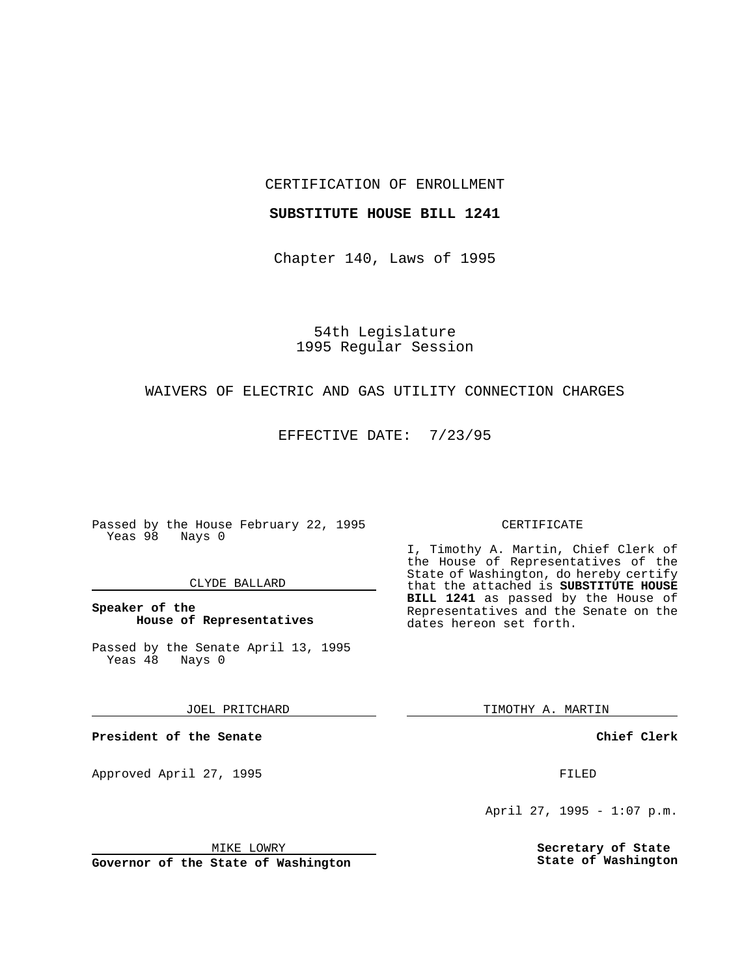CERTIFICATION OF ENROLLMENT

#### **SUBSTITUTE HOUSE BILL 1241**

Chapter 140, Laws of 1995

54th Legislature 1995 Regular Session

# WAIVERS OF ELECTRIC AND GAS UTILITY CONNECTION CHARGES

EFFECTIVE DATE: 7/23/95

Passed by the House February 22, 1995 Yeas 98 Nays 0

### CLYDE BALLARD

**Speaker of the House of Representatives**

Passed by the Senate April 13, 1995<br>Yeas 48 Nays 0 Yeas 48

JOEL PRITCHARD

**President of the Senate**

Approved April 27, 1995 FILED

# MIKE LOWRY

**Governor of the State of Washington**

#### CERTIFICATE

I, Timothy A. Martin, Chief Clerk of the House of Representatives of the State of Washington, do hereby certify that the attached is **SUBSTITUTE HOUSE BILL 1241** as passed by the House of Representatives and the Senate on the dates hereon set forth.

TIMOTHY A. MARTIN

**Chief Clerk**

April 27, 1995 - 1:07 p.m.

**Secretary of State State of Washington**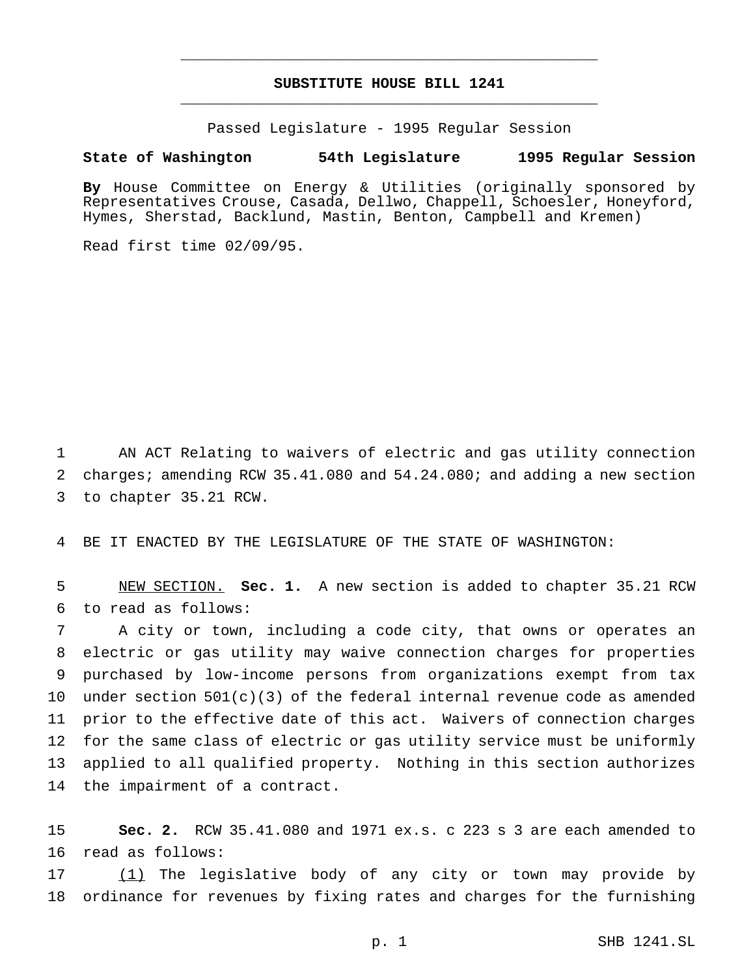# **SUBSTITUTE HOUSE BILL 1241** \_\_\_\_\_\_\_\_\_\_\_\_\_\_\_\_\_\_\_\_\_\_\_\_\_\_\_\_\_\_\_\_\_\_\_\_\_\_\_\_\_\_\_\_\_\_\_

\_\_\_\_\_\_\_\_\_\_\_\_\_\_\_\_\_\_\_\_\_\_\_\_\_\_\_\_\_\_\_\_\_\_\_\_\_\_\_\_\_\_\_\_\_\_\_

Passed Legislature - 1995 Regular Session

### **State of Washington 54th Legislature 1995 Regular Session**

**By** House Committee on Energy & Utilities (originally sponsored by Representatives Crouse, Casada, Dellwo, Chappell, Schoesler, Honeyford, Hymes, Sherstad, Backlund, Mastin, Benton, Campbell and Kremen)

Read first time 02/09/95.

 AN ACT Relating to waivers of electric and gas utility connection charges; amending RCW 35.41.080 and 54.24.080; and adding a new section to chapter 35.21 RCW.

BE IT ENACTED BY THE LEGISLATURE OF THE STATE OF WASHINGTON:

 NEW SECTION. **Sec. 1.** A new section is added to chapter 35.21 RCW to read as follows:

 A city or town, including a code city, that owns or operates an electric or gas utility may waive connection charges for properties purchased by low-income persons from organizations exempt from tax under section 501(c)(3) of the federal internal revenue code as amended prior to the effective date of this act. Waivers of connection charges for the same class of electric or gas utility service must be uniformly applied to all qualified property. Nothing in this section authorizes the impairment of a contract.

 **Sec. 2.** RCW 35.41.080 and 1971 ex.s. c 223 s 3 are each amended to read as follows:

 (1) The legislative body of any city or town may provide by ordinance for revenues by fixing rates and charges for the furnishing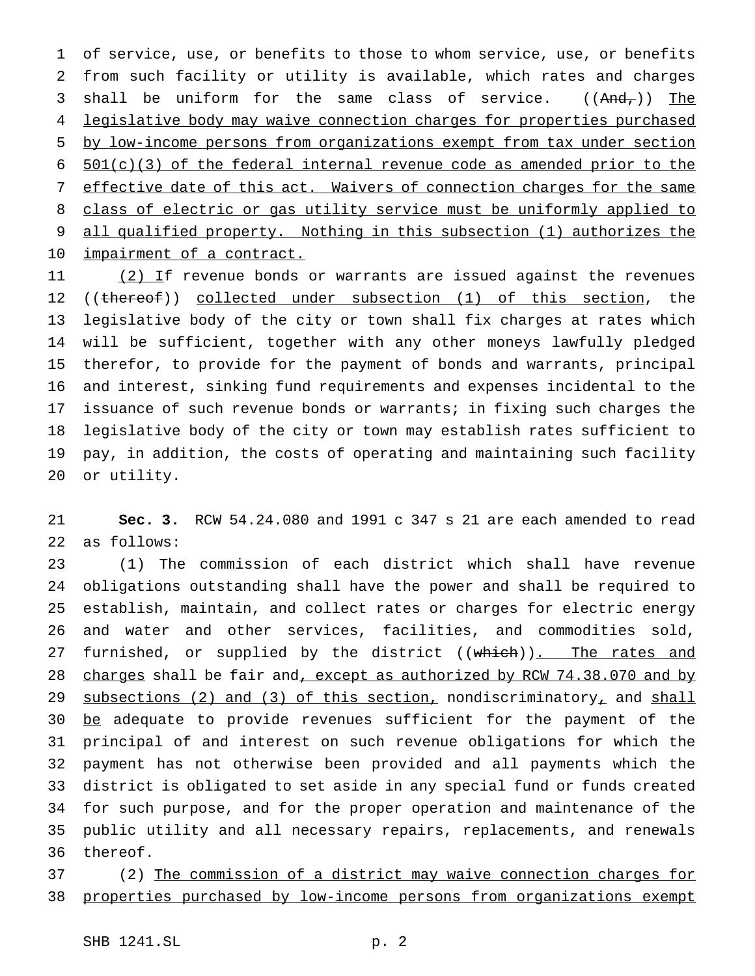of service, use, or benefits to those to whom service, use, or benefits from such facility or utility is available, which rates and charges 3 shall be uniform for the same class of service.  $((And<sub>r</sub>))$  The 4 legislative body may waive connection charges for properties purchased by low-income persons from organizations exempt from tax under section  $501(c)(3)$  of the federal internal revenue code as amended prior to the effective date of this act. Waivers of connection charges for the same class of electric or gas utility service must be uniformly applied to all qualified property. Nothing in this subsection (1) authorizes the 10 impairment of a contract.

11 (2) If revenue bonds or warrants are issued against the revenues 12 ((thereof)) collected under subsection (1) of this section, the legislative body of the city or town shall fix charges at rates which will be sufficient, together with any other moneys lawfully pledged therefor, to provide for the payment of bonds and warrants, principal and interest, sinking fund requirements and expenses incidental to the issuance of such revenue bonds or warrants; in fixing such charges the legislative body of the city or town may establish rates sufficient to pay, in addition, the costs of operating and maintaining such facility or utility.

 **Sec. 3.** RCW 54.24.080 and 1991 c 347 s 21 are each amended to read as follows:

 (1) The commission of each district which shall have revenue obligations outstanding shall have the power and shall be required to establish, maintain, and collect rates or charges for electric energy and water and other services, facilities, and commodities sold, 27 furnished, or supplied by the district ((which)). The rates and 28 charges shall be fair and, except as authorized by RCW 74.38.070 and by 29 subsections (2) and (3) of this section, nondiscriminatory, and shall 30 be adequate to provide revenues sufficient for the payment of the principal of and interest on such revenue obligations for which the payment has not otherwise been provided and all payments which the district is obligated to set aside in any special fund or funds created for such purpose, and for the proper operation and maintenance of the public utility and all necessary repairs, replacements, and renewals thereof.

 (2) The commission of a district may waive connection charges for properties purchased by low-income persons from organizations exempt